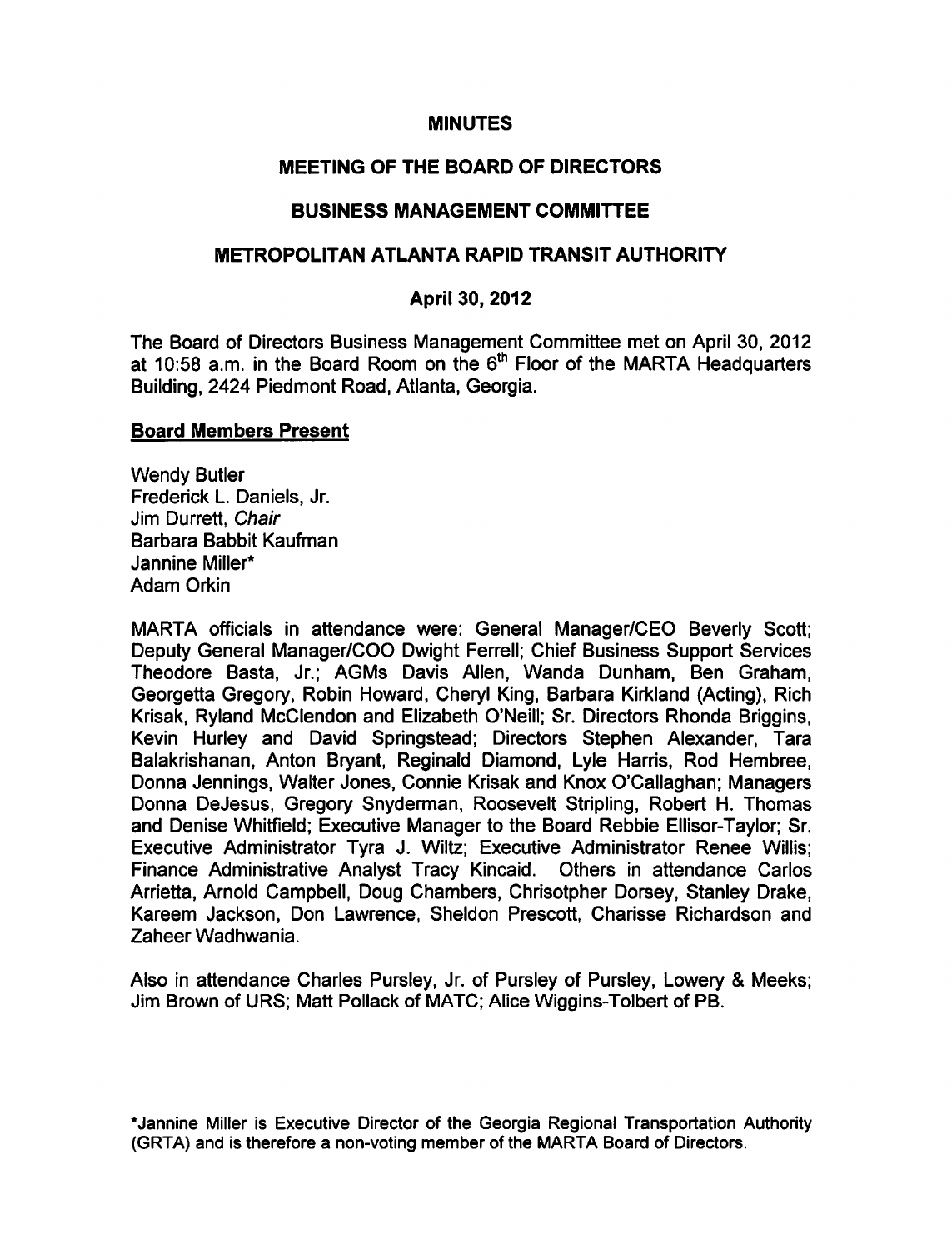#### **MINUTES**

## MEETING OF THE BOARD OF DIRECTORS

## BUSINESS MANAGEMENT COMMITTEE

## METROPOLITAN ATLANTA RAPID TRANSIT AUTHORITY

## April 30, 2012

The Board of Directors Business Management Committee met on April 30, 2012 at 10:58 a.m. in the Board Room on the  $6<sup>th</sup>$  Floor of the MARTA Headquarters Building, 2424 Piedmont Road, Atlanta, Georgia.

#### Board Members Present

Wendy Butler Frederick L. Daniels, Jr. Jim Durrett, Chair Barbara Babbit Kaufman Jannine Miller\* Adam Orkin

MARTA officials in attendance were: General Manager/CEO Beverly Scott; Deputy General Manager/COO Dwight Ferrell; Chief Business Support Services Theodore Basta, Jr.; AGMs Davis Allen, Wanda Dunham, Ben Graham, Georgetta Gregory, Robin Howard, Cheryl King, Barbara Kirkland (Acting), Rich Krisak, Ryland McClendon and Elizabeth O'Neill; Sr. Directors Rhonda Briggins, Kevin Hurley and David Springstead; Directors Stephen Alexander, Tara Balakrishanan, Anton Bryant, Reginald Diamond, Lyle Harris, Rod Hembree, Donna Jennings, Walter Jones, Connie Krisak and Knox O'Callaghan; Managers Donna DeJesus, Gregory Snyderman, Roosevelt Stripling, Robert H. Thomas and Denise Whitfield; Executive Manager to the Board Rebbie Ellisor-Taylor; Sr. Executive Administrator Tyra J. Wiltz; Executive Administrator Renee Willis; Finance Administrative Analyst Tracy Kincaid. Others in attendance Carlos Arrietta, Arnold Campbell, Doug Chambers, Chrisotpher Dorsey, Stanley Drake, Kareem Jackson, Don Lawrence, Sheldon Prescott, Charisse Richardson and Zaheer Wadhwania.

Also in attendance Charles Pursley, Jr. of Pursley of Pursley, Lowery & Meeks; Jim Brown of URS; Matt Pollack of MATC; Alice Wiggins-Tolbert of PB.

\*Jannine Miller is Executive Director of the Georgia Regional Transportation Authority (GRTA) and is therefore a non-voting member of the MARTA Board of Directors.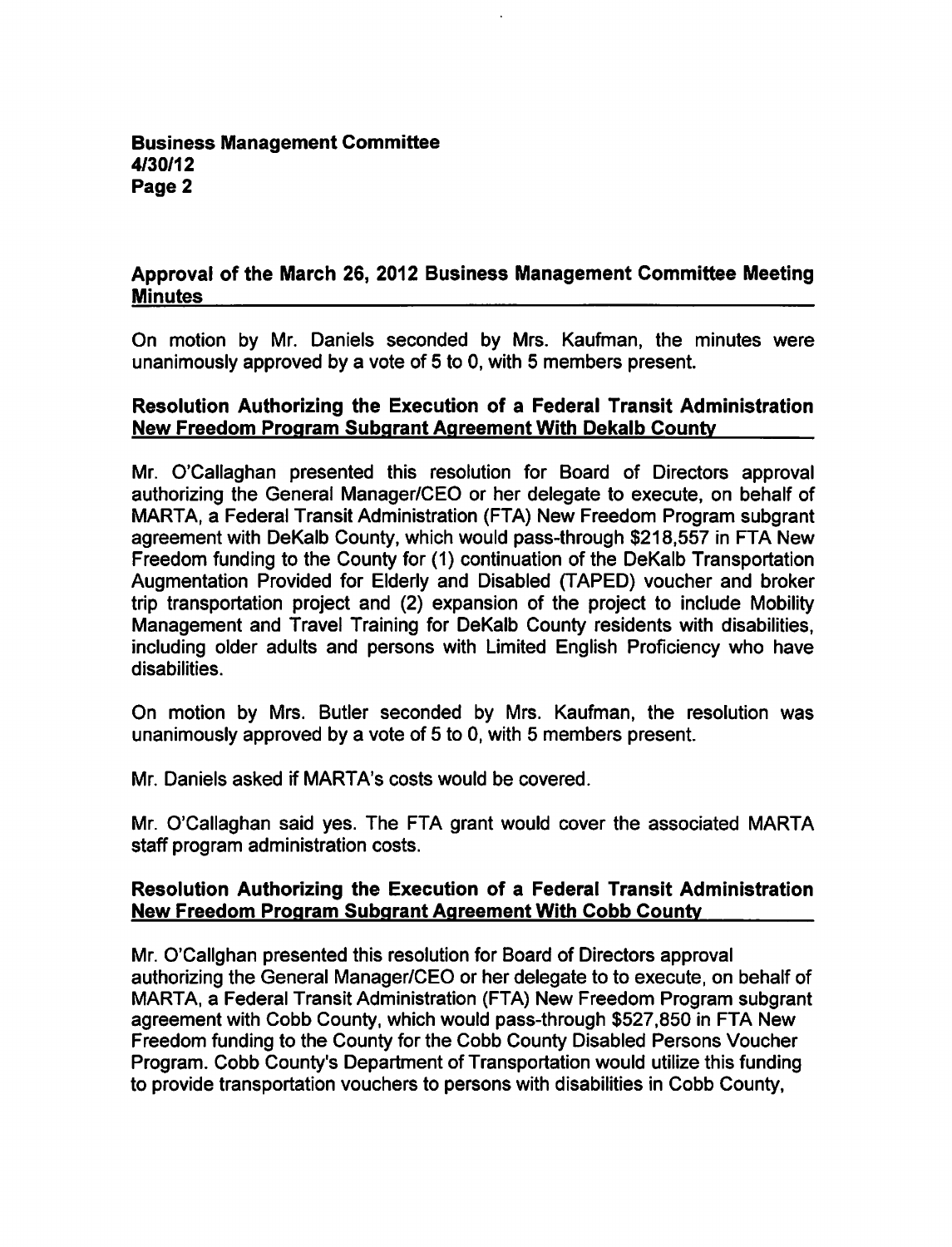## Approval of the March 26, 2012 Business Management Committee Meeting **Minutes**

On motion by Mr. Daniels seconded by Mrs. Kaufman, the minutes were unanimously approved by a vote of 5 to 0, with 5 members present.

## Resolution Authorizing the Execution of a Federal Transit Administration New Freedom Program Subqrant Agreement With Dekalb County

Mr. O'Callaghan presented this resolution for Board of Directors approval authorizing the General Manager/CEO or her delegate to execute, on behalf of MARTA, a Federal Transit Administration (FTA) New Freedom Program subgrant agreement with DeKalb County, which would pass-through \$218,557 in FTA New Freedom funding to the County for (1) continuation of the DeKalb Transportation Augmentation Provided for Elderly and Disabled (TAPED) voucher and broker trip transportation project and (2) expansion of the project to include Mobility Management and Travel Training for DeKalb County residents with disabilities, including older adults and persons with Limited English Proficiency who have disabilities.

On motion by Mrs. Butler seconded by Mrs. Kaufman, the resolution was unanimously approved by a vote of  $5$  to 0, with  $5$  members present.

Mr. Daniels asked if MARTA's costs would be covered.

Mr. O'Callaghan said yes. The FTA grant would cover the associated MARTA staff program administration costs.

#### Resolution Authorizing the Execution of a Federal Transit Administration New Freedom Program Subgrant Agreement With Cobb County

Mr. O'Callghan presented this resolution for Board of Directors approval authorizing the General Manager/CEO or her delegate to to execute, on behalf of MARTA, a Federal Transit Administration (FTA) New Freedom Program subgrant agreement with Cobb County, which would pass-through \$527,850 in FTA New Freedom funding to the County for the Cobb County Disabled Persons Voucher Program. Cobb County's Department of Transportation would utilize this funding to provide transportation vouchers to persons with disabilities in Cobb County,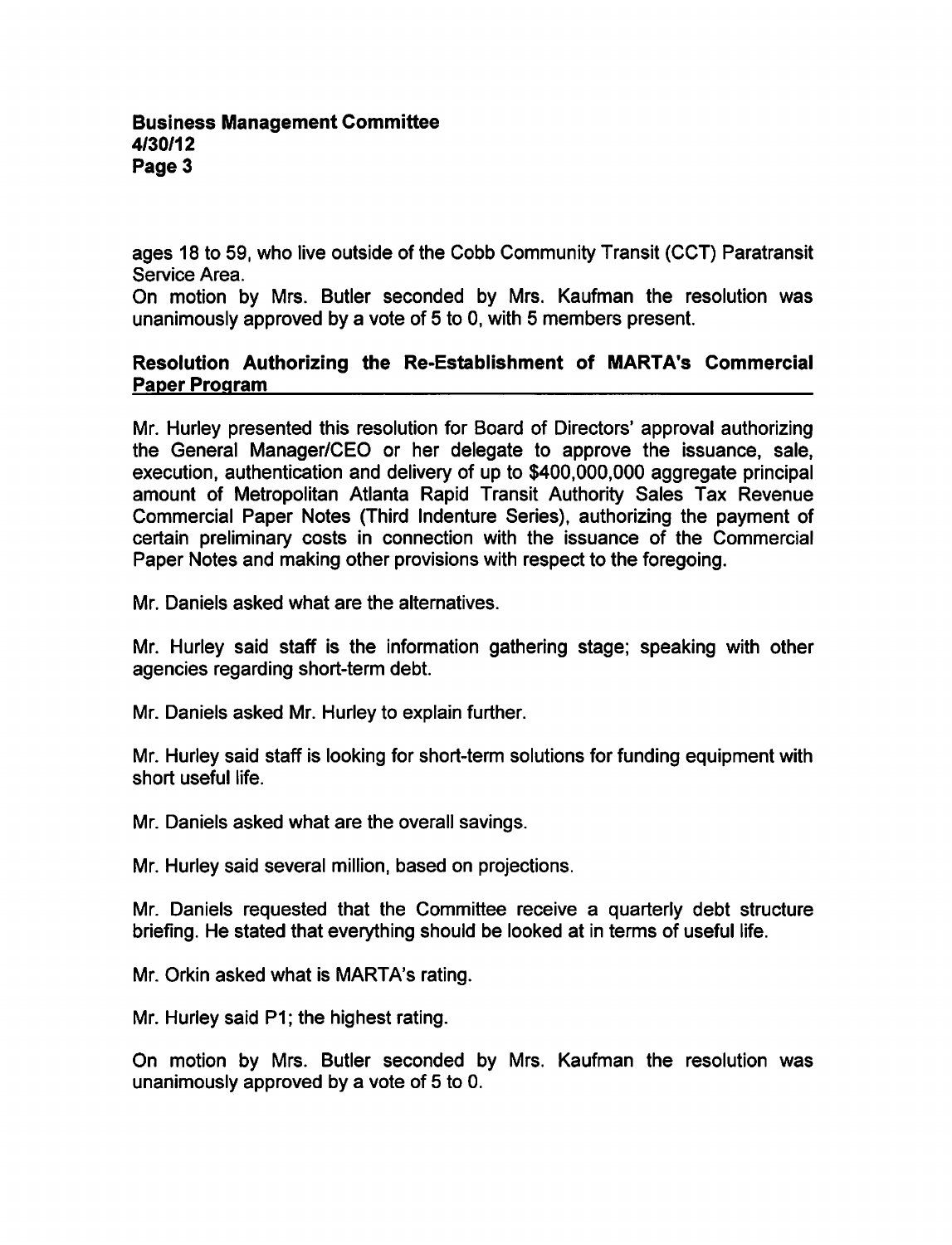ages 18 to 59, who live outside of the Cobb Community Transit (CCT) Paratransit Service Area.

On motion by Mrs. Butler seconded by Mrs. Kaufman the resolution was unanimously approved by a vote of 5 to 0, with 5 members present.

## Resolution Authorizing the Re-Establishment of MARTA's Commercial Paper Program

Mr. Hurley presented this resolution for Board of Directors' approval authorizing the General Manager/CEO or her delegate to approve the issuance, sale, execution, authentication and delivery of up to \$400,000,000 aggregate principal amount of Metropolitan Atlanta Rapid Transit Authority Sales Tax Revenue Commercial Paper Notes (Third Indenture Series), authorizing the payment of certain preliminary costs in connection with the issuance of the Commercial Paper Notes and making other provisions with respect to the foregoing.

Mr. Daniels asked what are the alternatives.

Mr. Hurley said staff is the information gathering stage; speaking with other agencies regarding short-term debt.

Mr. Daniels asked Mr. Hurley to explain further.

Mr. Hurley said staff is looking for short-term solutions for funding equipment with short useful life.

Mr. Daniels asked what are the overall savings.

Mr. Hurley said several million, based on projections.

Mr. Daniels requested that the Committee receive a quarterly debt structure briefing. He stated that everything should be looked at in terms of useful life.

Mr. Orkin asked what is MARTA's rating.

Mr. Hurley said P1; the highest rating.

On motion by Mrs. Butler seconded by Mrs. Kaufman the resolution was unanimously approved by a vote of  $5$  to 0.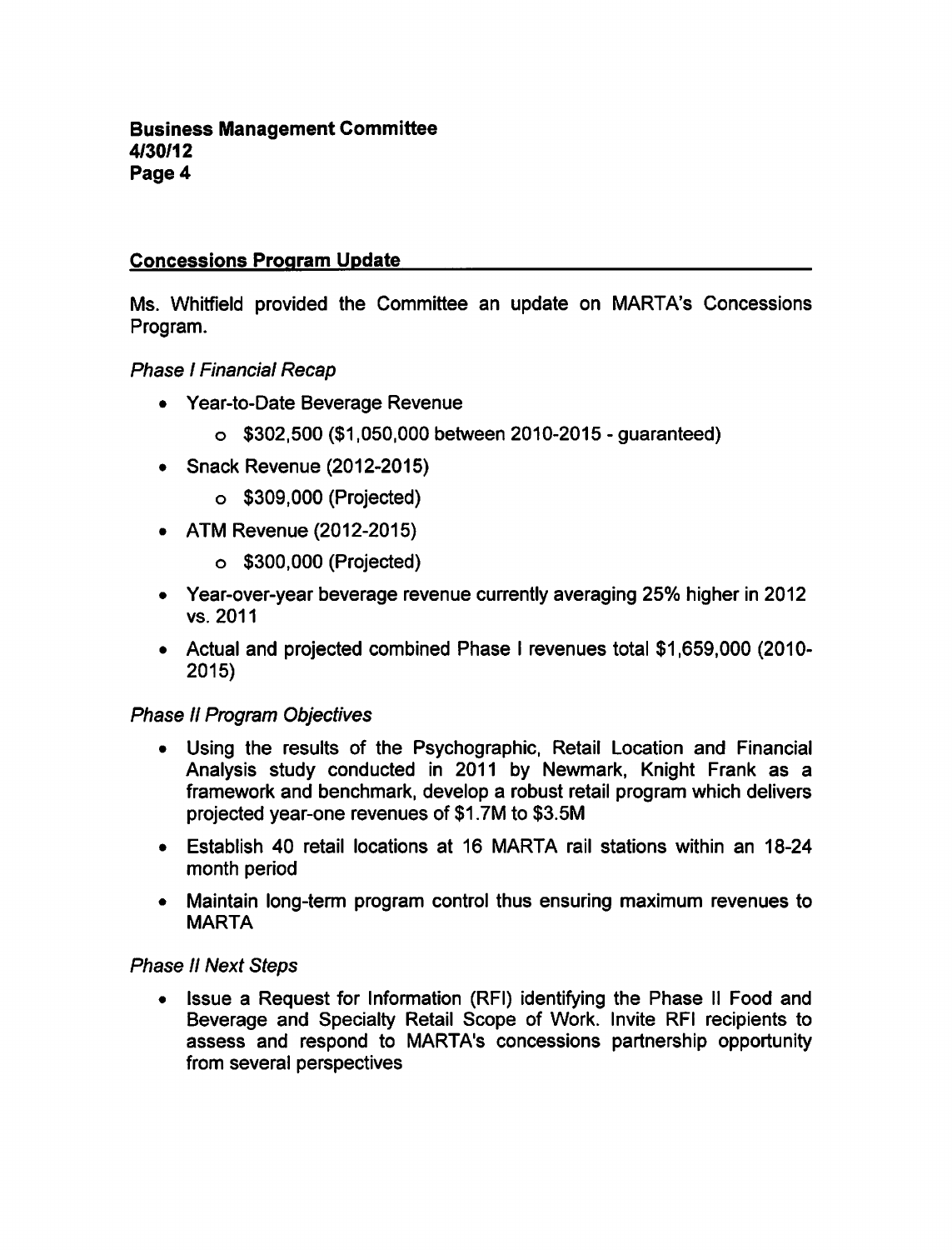#### Concessions Program Update

Ms. Whitfield provided the Committee an update on MARTA's Concessions Program.

**Phase I Financial Recap** 

- Year-to-Date Beverage Revenue
	- $\circ$  \$302,500 (\$1,050,000 between 2010-2015 quaranteed)
- Snack Revenue (2012-2015)
	- \$309,000 (Projected)
- ATM Revenue (2012-2015)
	- \$300,000 (Projected)
- Year-over-year beverage revenue currently averaging 25% higher in 2012 vs. 2011
- Actual and projected combined Phase I revenues total \$1,659,000 (2010-2015)

#### Phase II Program Objectives

- Using the results of the Psychographic, Retail Location and Financial Analysis study conducted in 2011 by Newmark, Knight Frank as a framework and benchmark, develop a robust retail program which delivers projected year-one revenues of \$1.7M to \$3.5M
- Establish 40 retail locations at 16 MARTA rail stations within an 18-24 month period
- Maintain long-term program control thus ensuring maximum revenues to MARTA

#### Phase II Next Steps

Issue a Request for Information (RFI) identifying the Phase II Food and  $\bullet$ Beverage and Specialty Retail Scope of Work. Invite RFI recipients to assess and respond to MARTA's concessions partnership opportunity from several perspectives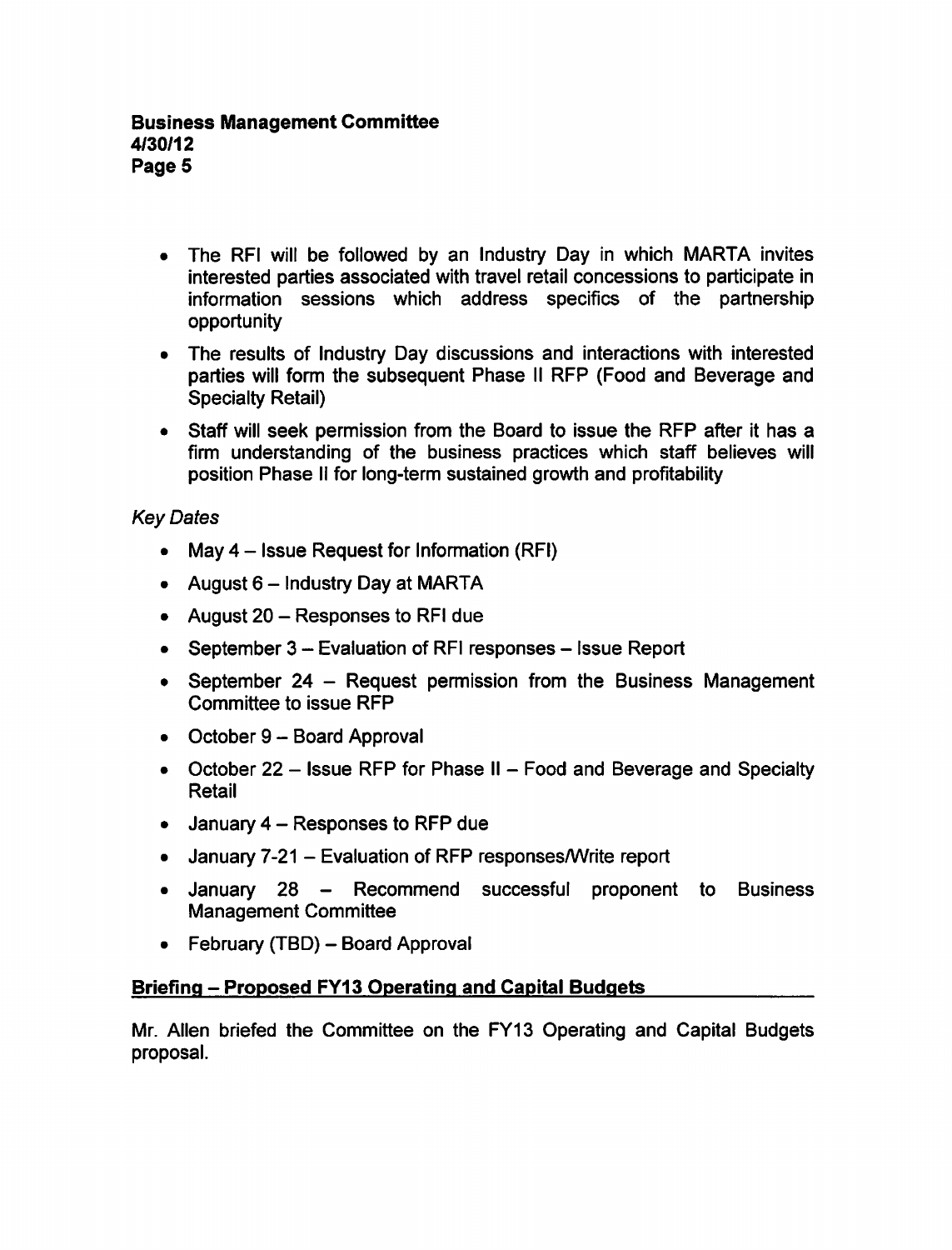- The RFI will be followed by an Industry Day in which MARTA invites interested parties associated with travel retail concessions to participate in information sessions which address specifics of the partnership opportunity
- The results of Industry Day discussions and interactions with interested parties will form the subsequent Phase II RFP (Food and Beverage and Specialty Retail)
- Staff will seek permission from the Board to issue the RFP after it has a firm understanding of the business practices which staff believes will position Phase II for long-term sustained growth and profitability

# Key Dates

- May  $4$  Issue Request for Information (RFI)
- August  $6$  Industry Day at MARTA
- August  $20 -$ Responses to RFI due
- September  $3 -$  Evaluation of RFI responses  $-$  Issue Report
- September 24 Request permission from the Business Management Committee to issue RFP
- $\bullet$  October 9 Board Approval
- October 22 Issue RFP for Phase II Food and Beverage and Specialty Retail
- $\bullet$  January 4 Responses to RFP due
- January 7-21 Evaluation of RFP responses/Write report
- January 28 Recommend successful proponent to Business Management Committee
- $\bullet$  February (TBD) Board Approval

## Briefing - Proposed FY13 Operating and Capital Budgets

Mr. Allen briefed the Committee on the FY13 Operating and Capital Budgets proposal.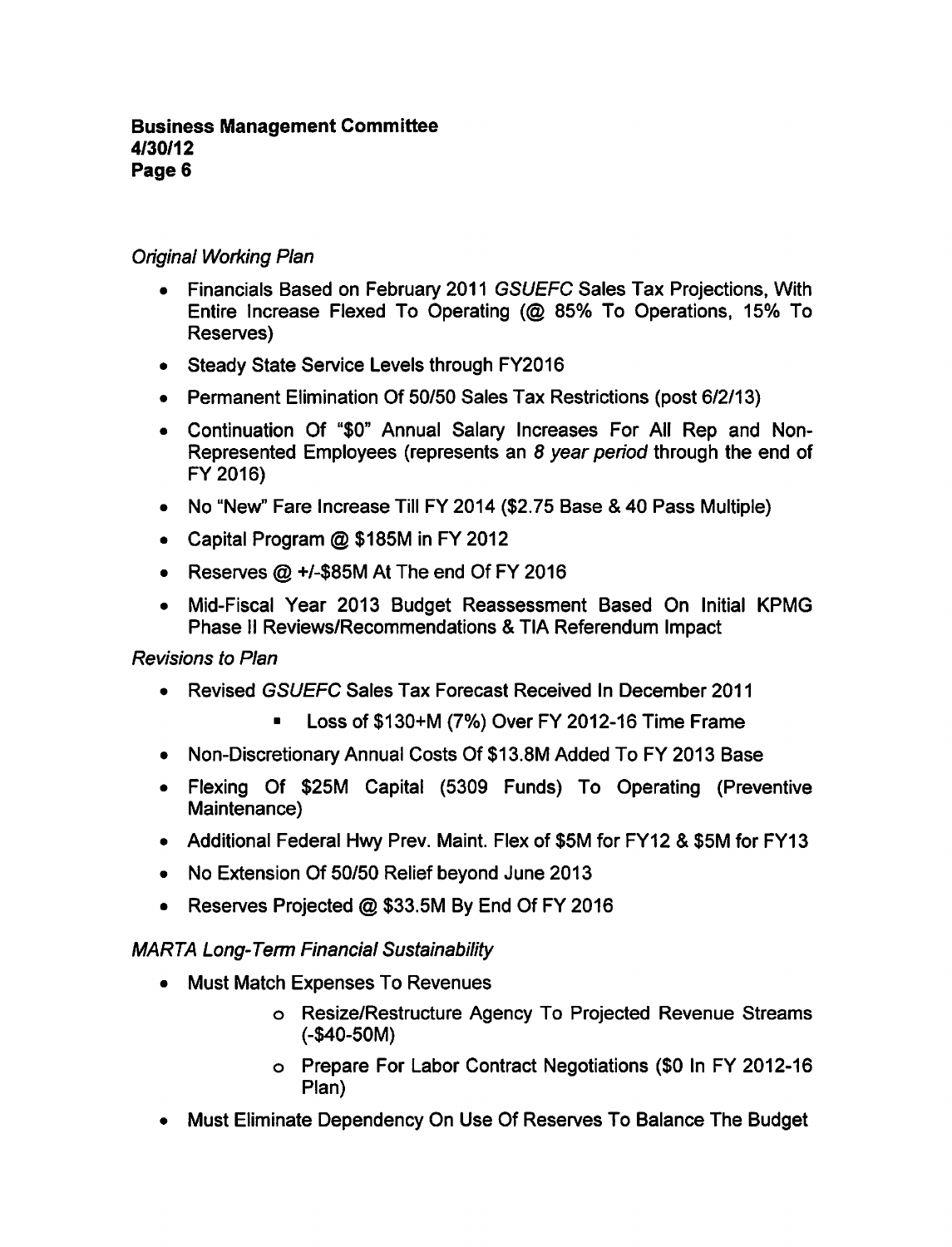# Original Working Plan

- Financials Based on February 2011 GSUEFC Sales Tax Projections, With Entire Increase Flexed To Operating (@ 85% To Operations, 15% To Reserves)
- Steady State Service Levels through FY2016
- Permanent Elimination Of 50/50 Sales Tax Restrictions (post 6/2/13)
- Continuation Of "\$0" Annual Salary Increases For All Rep and Non-Represented Employees (represents an 8 year period through the end of FY2016)
- No "New" Fare Increase Till FY 2014 (\$2.75 Base & 40 Pass Multiple)
- Capital Program  $@$  \$185M in FY 2012
- Reserves  $@ + l$ -\$85M At The end Of FY 2016
- Mid-Fiscal Year 2013 Budget Reassessment Based On Initial KPMG Phase II Reviews/Recommendations & TIA Referendum Impact

## Revisions to Plan

- Revised GSUEFC Sales Tax Forecast Received In December 2011
	- Loss of \$130+M (7%) Over FY 2012-16 Time Frame
- Non-Discretionary Annual Costs Of \$13.8M Added To FY 2013 Base
- Flexing Of \$25M Capital (5309 Funds) To Operating (Preventive Maintenance)
- Additional Federal Hwy Prev. Maint. Flex of \$5M for FY12 & \$5M for FY13
- No Extension Of 50/50 Relief beyond June 2013  $\bullet$
- Reserves Projected @ \$33.5M By End Of FY 2016  $\bullet$

## MARTA Long-Term Financial Sustainability

- Must Match Expenses To Revenues
	- Resize/Restructure Agency To Projected Revenue Streams (-\$40-50M)
	- Prepare For Labor Contract Negotiations (\$0 In FY 2012-16 Plan)
- Must Eliminate Dependency On Use Of Reserves To Balance The Budget $\bullet$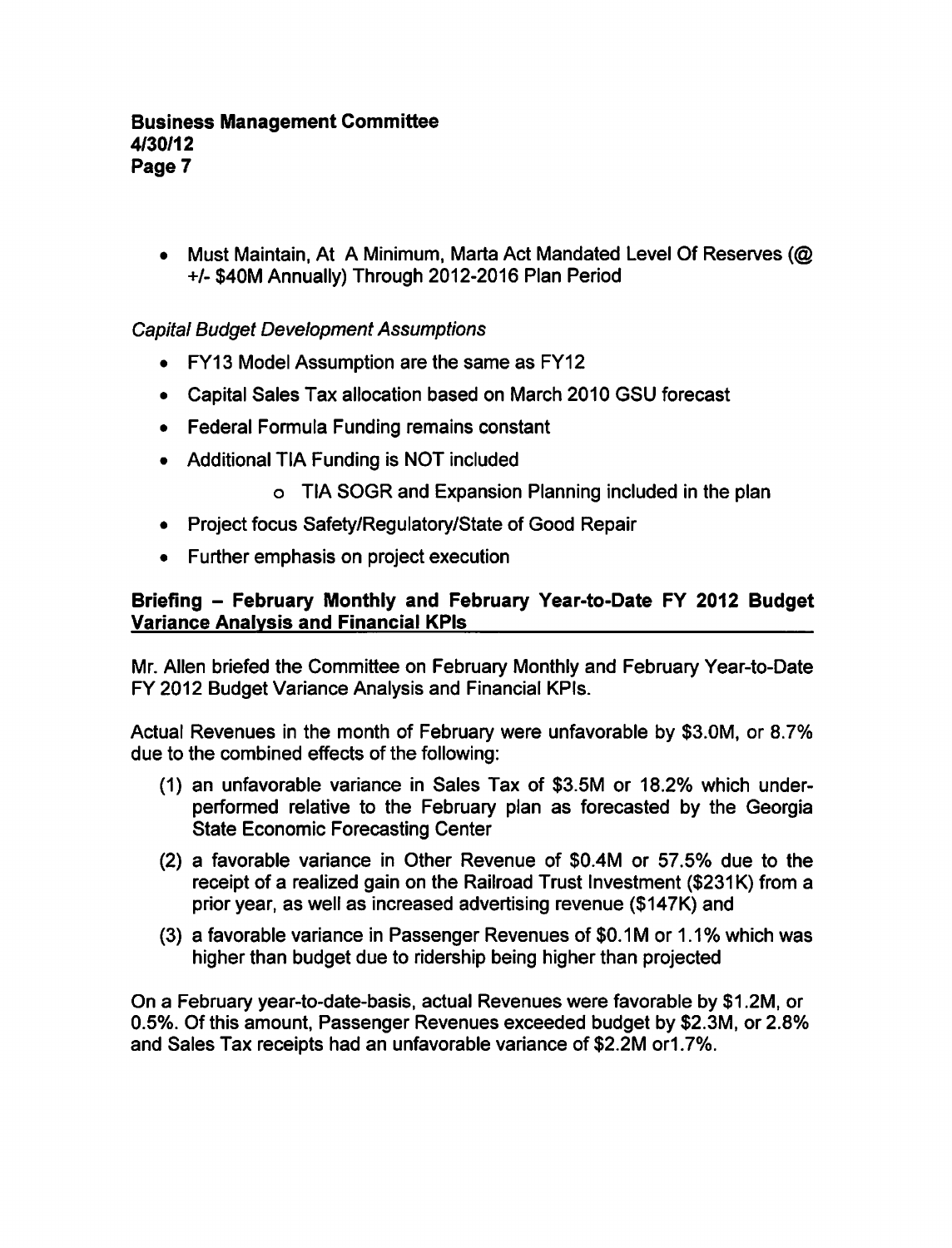• Must Maintain, At A Minimum, Marta Act Mandated Level Of Reserves (@ +/- \$40M Annually) Through 2012-2016 Plan Period

# Capital Budget Development Assumptions

- FY13 Model Assumption are the same as FY12
- Capital Sales Tax allocation based on March 2010 GSU forecast
- Federal Formula Funding remains constant
- Additional TIA Funding is NOT included
	- TIA SOGR and Expansion Planning included in the plan
- Project focus Safety/Regulatory/State of Good Repair
- Further emphasis on project execution  $\bullet$

# Briefing - February Monthly and February Year-to-Date FY 2012 Budget Variance Analysis and Financial KPIs

Mr. Allen briefed the Committee on February Monthly and February Year-to-Date FY 2012 Budget Variance Analysis and Financial KPIs.

Actual Revenues in the month of February were unfavorable by \$3.0M, or 8.7% due to the combined effects of the following:

- (1) an unfavorable variance in Sales Tax of \$3.5M or 18.2% which underperformed relative to the February plan as forecasted by the Georgia State Economic Forecasting Center
- $(2)$  a favorable variance in Other Revenue of \$0.4M or 57.5% due to the receipt of a realized gain on the Railroad Trust Investment (\$231K) from a prior year, as well as increased advertising revenue (\$147K) and
- (3) a favorable variance in Passenger Revenues of \$0.1M or 1.1% which was higher than budget due to ridership being higher than projected

On a February year-to-date-basis, actual Revenues were favorable by \$1.2M, or 0.5%. Of this amount, Passenger Revenues exceeded budget by \$2.3M, or 2.8% and Sales Tax receipts had an unfavorable variance of \$2.2M or1.7%.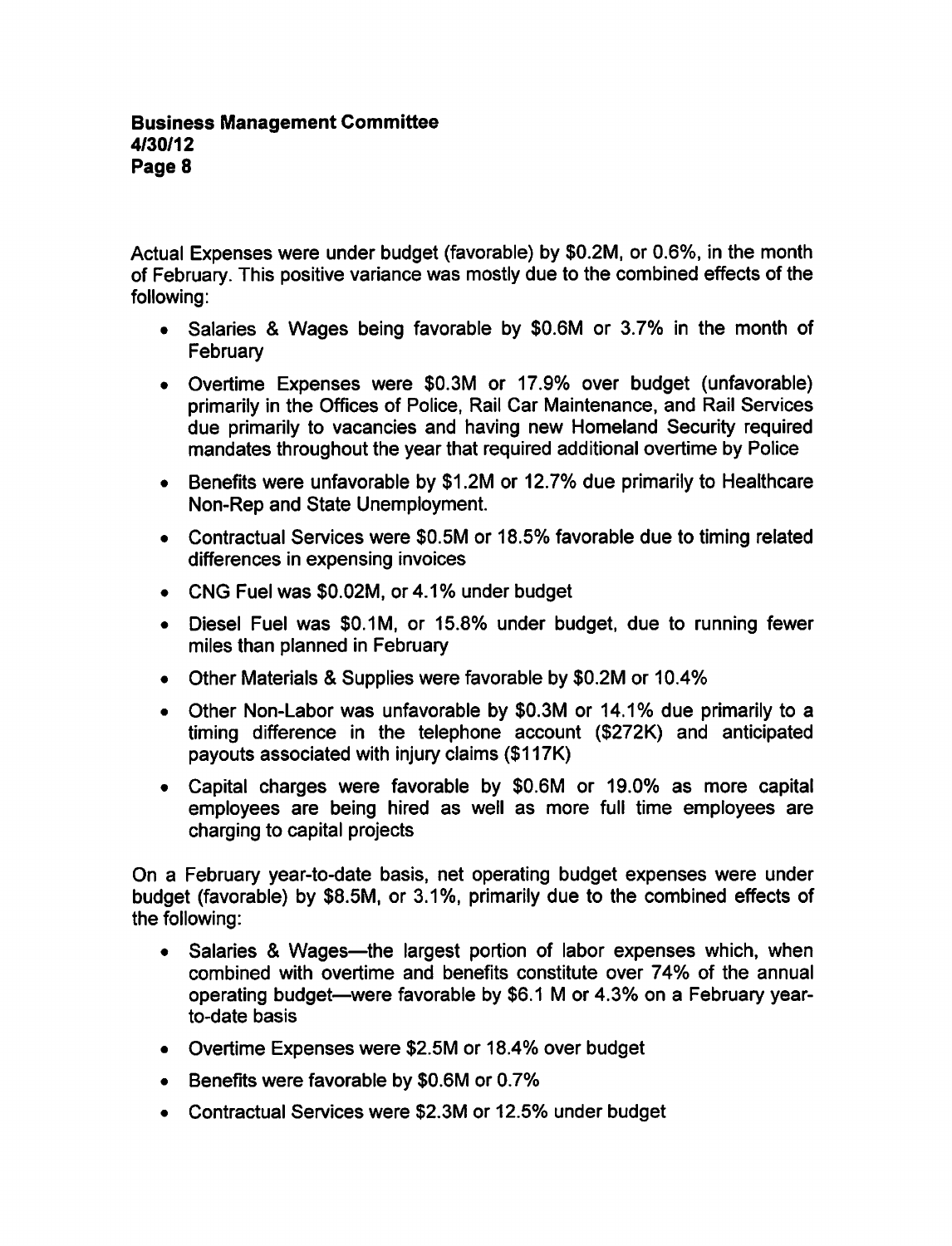Actual Expenses were under budget (favorable) by \$0.2M, or 0.6%, in the month of February. This positive variance was mostly due to the combined effects of the following:

- Salaries Wages being favorable by \$0.6M or 3.7% in the month of **February**
- Overtime Expenses were \$0.3M or 17.9% over budget (unfavorable) primarily in the Offices of Police, Rail Car Maintenance, and Rail Services due primarily to vacancies and having new Homeland Security required mandates throughout the year that required additional overtime by Police
- Benefits were unfavorable by \$1.2M or 12.7% due primarily to Healthcare Non-Rep and State Unemployment.
- Contractual Services were \$0.5M or 18.5% favorable due to timing related differences in expensing invoices
- CNG Fuel was \$0.02M, or 4.1% under budget
- Diesel Fuel was \$0.1M, or 15.8% under budget, due to running fewer miles than planned in February
- Other Materials Supplies were favorable by \$0.2M or 10.4%
- Other Non-Labor was unfavorable by \$0.3M or 14.1% due primarily to a timing difference in the telephone account (\$272K) and anticipated payouts associated with injury claims (\$117K)
- Capital charges were favorable by \$0.6M or 19.0% as more capital employees are being hired as well as more full time employees are charging to capital projects

On a February year-to-date basis, net operating budget expenses were under budget (favorable) by \$8.5M, or 3.1%, primarily due to the combined effects of the following:

- Salaries Wages—the largest portion of labor expenses which, when  $\bullet$ combined with overtime and benefits constitute over 74% of the annual operating budget—were favorable by \$6.1 M or 4.3% on a February yearto-date basis
- Overtime Expenses were \$2.5M or 18.4% over budget
- Benefits were favorable by \$0.6M or 0.7%
- Contractual Services were \$2.3M or 12.5% under budget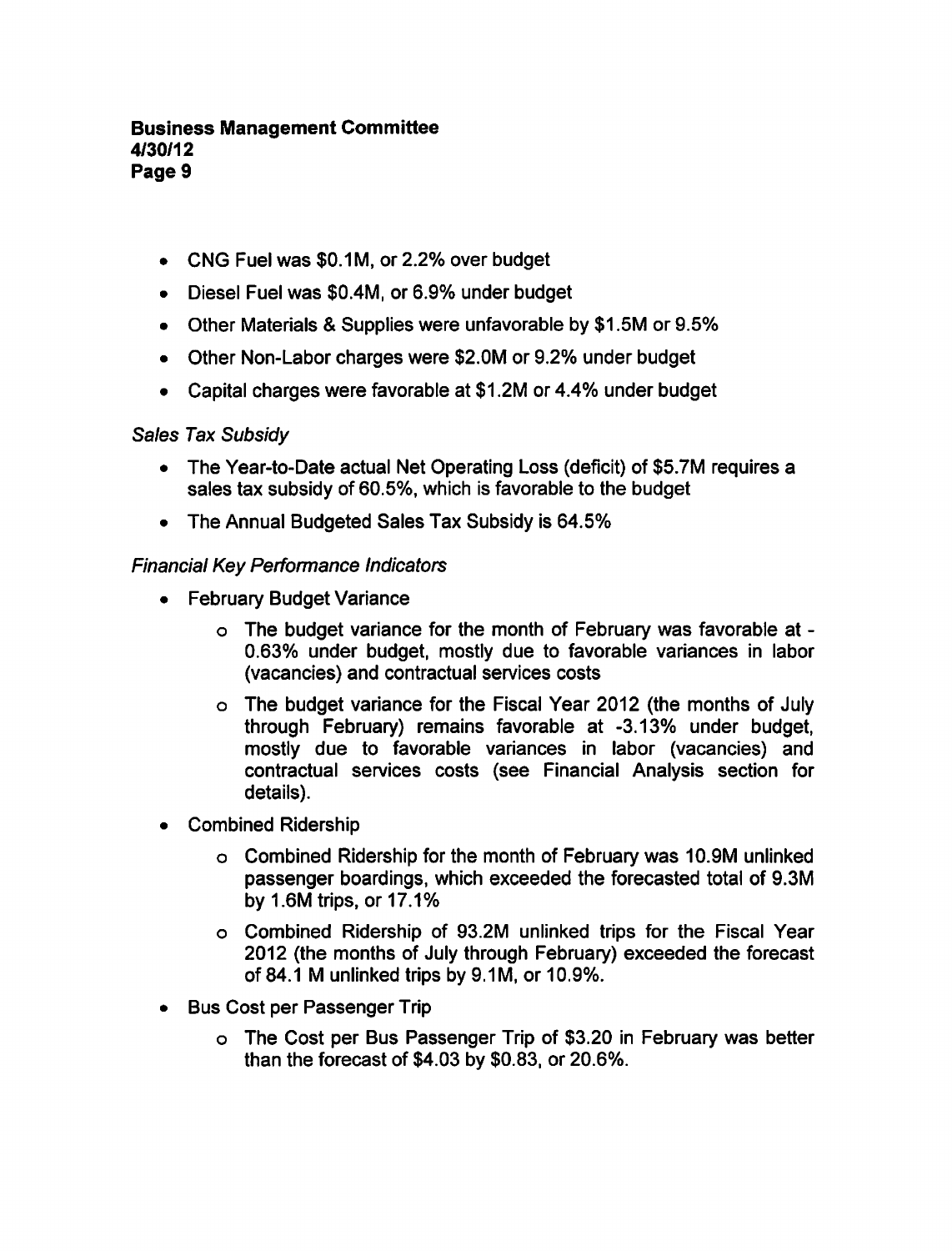- CNG Fuel was \$0.1M, or 2.2% over budget
- Diesel Fuel was \$0.4M, or 6.9% under budget
- Other Materials & Supplies were unfavorable by \$1.5M or 9.5%
- Other Non-Labor charges were \$2.0M or 9.2% under budget
- Capital charges were favorable at \$1.2M or 4.4% under budget

## Sales Tax Subsidy

- The Year-to-Date actual Net Operating Loss (deficit) of \$5.7M requires a sales tax subsidy of 60.5%, which is favorable to the budget
- $\bullet$ The Annual Budgeted Sales Tax Subsidy is 64.5%

#### Financial Key Performance Indicators

- February Budget Variance
	- The budget variance for the month of February was favorable at 0.63% under budget, mostly due to favorable variances in labor (vacancies) and contractual services costs
	- The budget variance for the Fiscal Year 2012 (the months of July through February) remains favorable at -3.13% under budget, mostly due to favorable variances in labor (vacancies) and contractual services costs (see Financial Analysis section for details).
- Combined Ridership  $\bullet$ 
	- Combined Ridership for the month of February was 10.9M unlinked passenger boardings, which exceeded the forecasted total of 9.3M by 1.6M trips, or 17.1%
	- Combined Ridership of 93.2M unlinked trips for the Fiscal Year 2012 (the months of July through February) exceeded the forecast of 84.1 M unlinked trips by 9.1M, or 10.9%.
- Bus Cost per Passenger Trip  $\bullet$ 
	- The Cost per Bus Passenger Trip of \$3.20 in February was better than the forecast of \$4.03 by \$0.83, or 20.6%.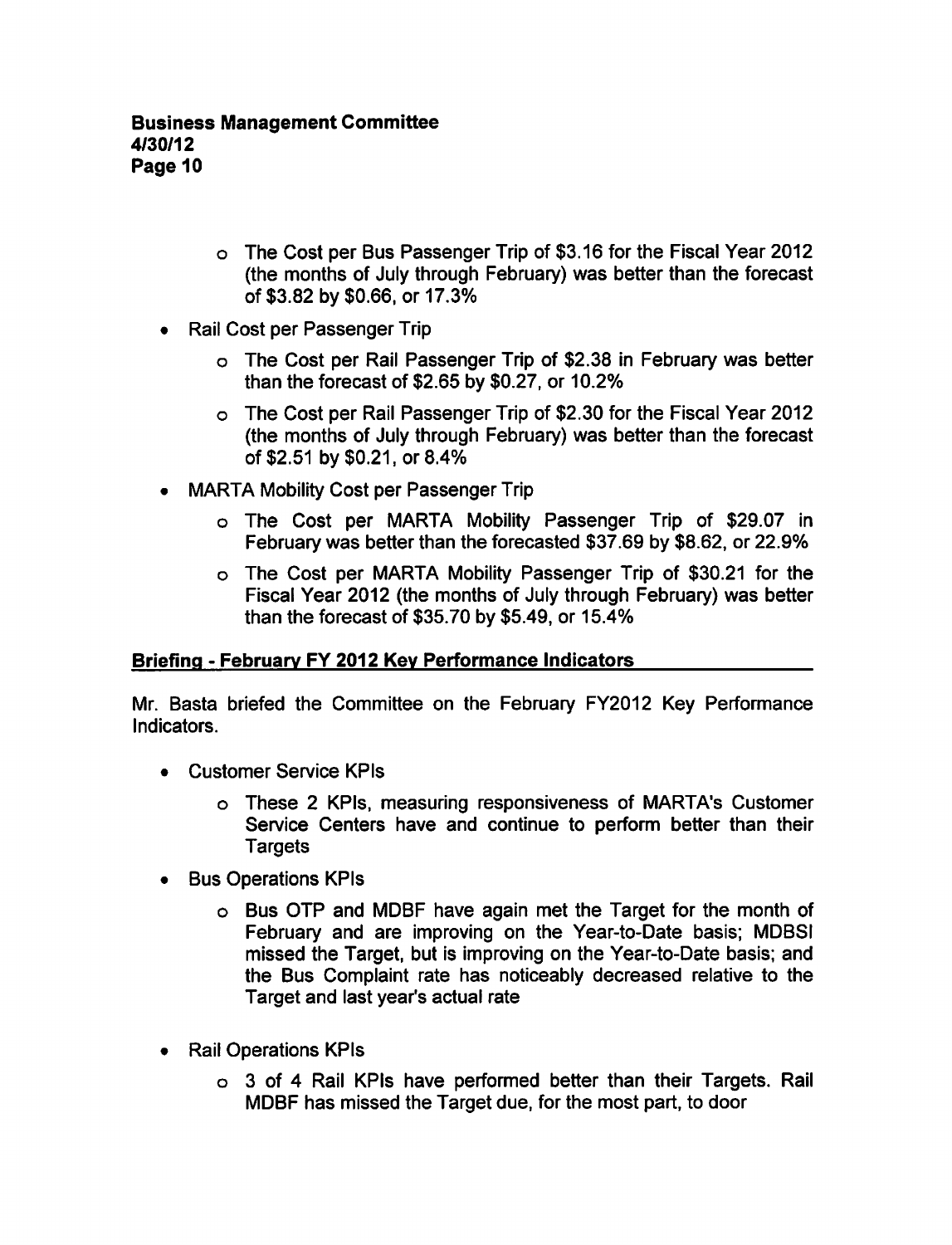- The Cost per Bus Passenger Trip of \$3.16 for the Fiscal Year 2012 (the months of July through February) was better than the forecast of \$3.82 by \$0.66, or 17.3%
- Rail Cost per Passenger Trip  $\bullet$ 
	- The Cost per Rail Passenger Trip of \$2.38 in February was better than the forecast of \$2.65 by \$0.27, or 10.2%
	- The Cost per Rail Passenger Trip of \$2.30 for the Fiscal Year 2012 (the months of July through February) was better than the forecast of \$2.51 by \$0.21, or 8.4%
- MARTA Mobility Cost per Passenger Trip  $\bullet$ 
	- The Cost per MARTA Mobility Passenger Trip of \$29.07 in February was better than the forecasted \$37.69 by \$8.62, or 22.9%
	- The Cost per MARTA Mobility Passenger Trip of \$30.21 for the Fiscal Year 2012 (the months of July through February) was better than the forecast of \$35.70 by \$5.49, or 15.4%

## Briefing - February FY 2012 Key Performance Indicators

Mr. Basta briefed the Committee on the February FY2012 Key Performance Indicators.

- Customer Service KPIs
	- o These 2 KPIs, measuring responsiveness of MARTA's Customer Service Centers have and continue to perform better than their **Targets**
- Bus Operations KPIs
	- Bus OTP and MDBF have again met the Target for the month of February and are improving on the Year-to-Date basis; MDBSI missed the Target, but is improving on the Year-to-Date basis; and the Bus Complaint rate has noticeably decreased relative to the Target and last year's actual rate
- Rail Operations KPIs
	- $\circ$  3 of 4 Rail KPIs have performed better than their Targets. Rail MDBF has missed the Target due, for the most part, to door